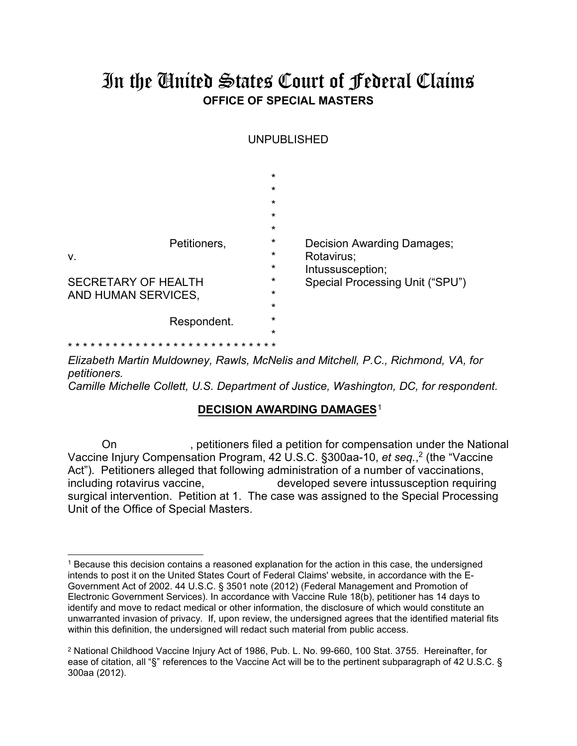# In the United States Court of Federal Claims **OFFICE OF SPECIAL MASTERS**

UNPUBLISHED

|                                                   | $\star$<br>$\star$<br>$\star$<br>$\star$<br>$\star$ |                                                              |
|---------------------------------------------------|-----------------------------------------------------|--------------------------------------------------------------|
| Petitioners,<br>V.                                | $\star$<br>$\star$<br>$\star$                       | Decision Awarding Damages;<br>Rotavirus;<br>Intussusception; |
| <b>SECRETARY OF HEALTH</b><br>AND HUMAN SERVICES, | $\star$<br>$\star$<br>$\star$                       | Special Processing Unit ("SPU")                              |
| Respondent.                                       | $\star$<br>$\star$                                  |                                                              |
| * * * * * * *                                     |                                                     |                                                              |

*Elizabeth Martin Muldowney, Rawls, McNelis and Mitchell, P.C., Richmond, VA, for petitioners.*

*Camille Michelle Collett, U.S. Department of Justice, Washington, DC, for respondent.*

## **DECISION AWARDING DAMAGES**[1](#page-0-0)

On , petitioners filed a petition for compensation under the National Vaccine Injury Compensation Program, 42 U.S.C. §300aa-10, *et seq.*, [2](#page-0-1) (the "Vaccine Act"). Petitioners alleged that following administration of a number of vaccinations, including rotavirus vaccine, developed severe intussusception requiring surgical intervention. Petition at 1. The case was assigned to the Special Processing Unit of the Office of Special Masters.

<span id="page-0-0"></span><sup>1</sup> Because this decision contains a reasoned explanation for the action in this case, the undersigned intends to post it on the United States Court of Federal Claims' website, in accordance with the E-Government Act of 2002. 44 U.S.C. § 3501 note (2012) (Federal Management and Promotion of Electronic Government Services). In accordance with Vaccine Rule 18(b), petitioner has 14 days to identify and move to redact medical or other information, the disclosure of which would constitute an unwarranted invasion of privacy. If, upon review, the undersigned agrees that the identified material fits within this definition, the undersigned will redact such material from public access.

<span id="page-0-1"></span><sup>2</sup> National Childhood Vaccine Injury Act of 1986, Pub. L. No. 99-660, 100 Stat. 3755. Hereinafter, for ease of citation, all "§" references to the Vaccine Act will be to the pertinent subparagraph of 42 U.S.C. § 300aa (2012).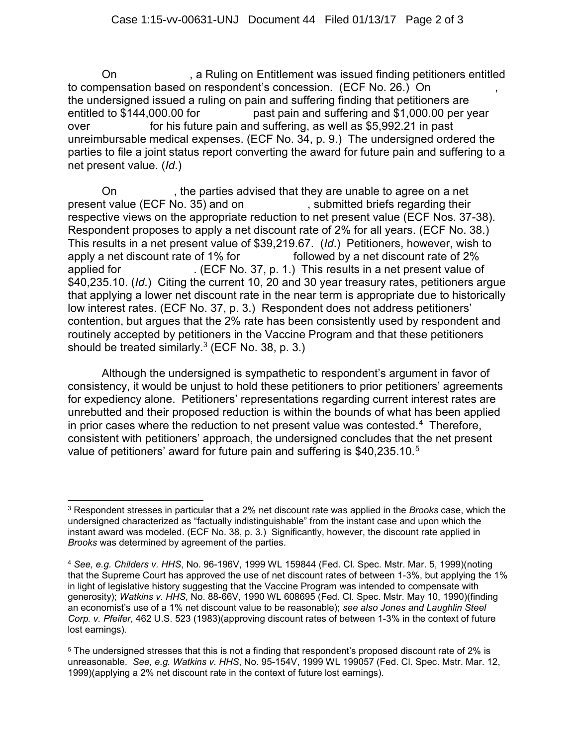On **Entitlement was issued finding petitioners entitled** to compensation based on respondent's concession. (ECF No. 26.) On , the undersigned issued a ruling on pain and suffering finding that petitioners are entitled to \$144,000.00 for past pain and suffering and \$1,000.00 per year over for his future pain and suffering, as well as \$5,992.21 in past unreimbursable medical expenses. (ECF No. 34, p. 9.) The undersigned ordered the parties to file a joint status report converting the award for future pain and suffering to a net present value. (*Id*.)

On , the parties advised that they are unable to agree on a net present value (ECF No. 35) and on , submitted briefs regarding their respective views on the appropriate reduction to net present value (ECF Nos. 37-38). Respondent proposes to apply a net discount rate of 2% for all years. (ECF No. 38.) This results in a net present value of \$39,219.67. (*Id*.) Petitioners, however, wish to apply a net discount rate of 1% for followed by a net discount rate of 2% applied for . (ECF No. 37, p. 1.) This results in a net present value of \$40,235.10. (*Id*.) Citing the current 10, 20 and 30 year treasury rates, petitioners argue that applying a lower net discount rate in the near term is appropriate due to historically low interest rates. (ECF No. 37, p. 3.) Respondent does not address petitioners' contention, but argues that the 2% rate has been consistently used by respondent and routinely accepted by petitioners in the Vaccine Program and that these petitioners should be treated similarly. $3$  (ECF No. 38, p. 3.)

Although the undersigned is sympathetic to respondent's argument in favor of consistency, it would be unjust to hold these petitioners to prior petitioners' agreements for expediency alone. Petitioners' representations regarding current interest rates are unrebutted and their proposed reduction is within the bounds of what has been applied in prior cases where the reduction to net present value was contested.[4](#page-1-1) Therefore, consistent with petitioners' approach, the undersigned concludes that the net present value of petitioners' award for future pain and suffering is \$40,23[5](#page-1-2).10.<sup>5</sup>

<span id="page-1-0"></span><sup>3</sup> Respondent stresses in particular that a 2% net discount rate was applied in the *Brooks* case, which the undersigned characterized as "factually indistinguishable" from the instant case and upon which the instant award was modeled. (ECF No. 38, p. 3.) Significantly, however, the discount rate applied in *Brooks* was determined by agreement of the parties.

<span id="page-1-1"></span><sup>4</sup> *See, e.g. Childers v. HHS*, No. 96-196V, 1999 WL 159844 (Fed. Cl. Spec. Mstr. Mar. 5, 1999)(noting that the Supreme Court has approved the use of net discount rates of between 1-3%, but applying the 1% in light of legislative history suggesting that the Vaccine Program was intended to compensate with generosity); *Watkins v. HHS*, No. 88-66V, 1990 WL 608695 (Fed. Cl. Spec. Mstr. May 10, 1990)(finding an economist's use of a 1% net discount value to be reasonable); *see also Jones and Laughlin Steel Corp. v. Pfeifer*, 462 U.S. 523 (1983)(approving discount rates of between 1-3% in the context of future lost earnings).

<span id="page-1-2"></span><sup>5</sup> The undersigned stresses that this is not a finding that respondent's proposed discount rate of 2% is unreasonable. *See, e.g. Watkins v. HHS*, No. 95-154V, 1999 WL 199057 (Fed. Cl. Spec. Mstr. Mar. 12, 1999)(applying a 2% net discount rate in the context of future lost earnings).